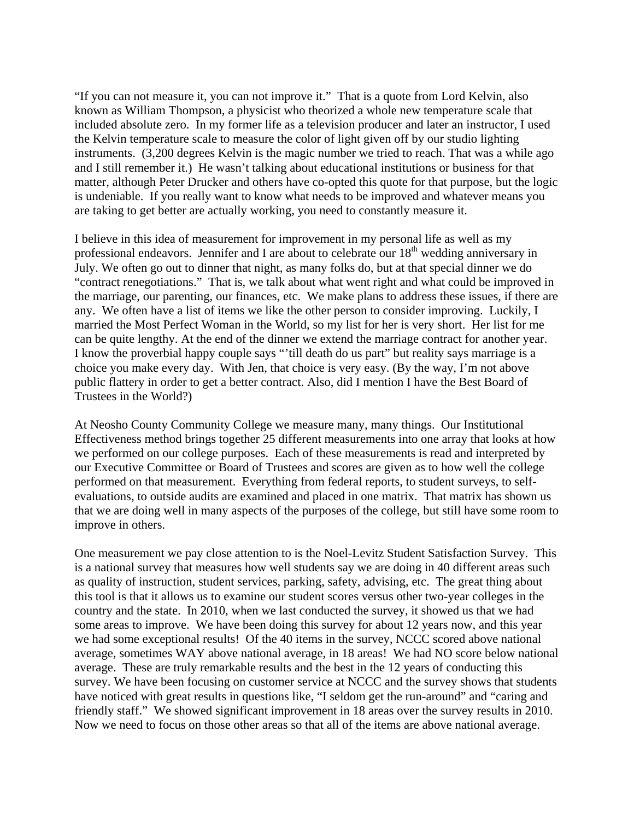"If you can not measure it, you can not improve it." That is a quote from Lord Kelvin, also known as William Thompson, a physicist who theorized a whole new temperature scale that included absolute zero. In my former life as a television producer and later an instructor, I used the Kelvin temperature scale to measure the color of light given off by our studio lighting instruments. (3,200 degrees Kelvin is the magic number we tried to reach. That was a while ago and I still remember it.) He wasn't talking about educational institutions or business for that matter, although Peter Drucker and others have co-opted this quote for that purpose, but the logic is undeniable. If you really want to know what needs to be improved and whatever means you are taking to get better are actually working, you need to constantly measure it.

I believe in this idea of measurement for improvement in my personal life as well as my professional endeavors. Jennifer and I are about to celebrate our 18<sup>th</sup> wedding anniversary in July. We often go out to dinner that night, as many folks do, but at that special dinner we do "contract renegotiations." That is, we talk about what went right and what could be improved in the marriage, our parenting, our finances, etc. We make plans to address these issues, if there are any. We often have a list of items we like the other person to consider improving. Luckily, I married the Most Perfect Woman in the World, so my list for her is very short. Her list for me can be quite lengthy. At the end of the dinner we extend the marriage contract for another year. I know the proverbial happy couple says "'till death do us part" but reality says marriage is a choice you make every day. With Jen, that choice is very easy. (By the way, I'm not above public flattery in order to get a better contract. Also, did I mention I have the Best Board of Trustees in the World?)

At Neosho County Community College we measure many, many things. Our Institutional Effectiveness method brings together 25 different measurements into one array that looks at how we performed on our college purposes. Each of these measurements is read and interpreted by our Executive Committee or Board of Trustees and scores are given as to how well the college performed on that measurement. Everything from federal reports, to student surveys, to selfevaluations, to outside audits are examined and placed in one matrix. That matrix has shown us that we are doing well in many aspects of the purposes of the college, but still have some room to improve in others.

One measurement we pay close attention to is the Noel-Levitz Student Satisfaction Survey. This is a national survey that measures how well students say we are doing in 40 different areas such as quality of instruction, student services, parking, safety, advising, etc. The great thing about this tool is that it allows us to examine our student scores versus other two-year colleges in the country and the state. In 2010, when we last conducted the survey, it showed us that we had some areas to improve. We have been doing this survey for about 12 years now, and this year we had some exceptional results! Of the 40 items in the survey, NCCC scored above national average, sometimes WAY above national average, in 18 areas! We had NO score below national average. These are truly remarkable results and the best in the 12 years of conducting this survey. We have been focusing on customer service at NCCC and the survey shows that students have noticed with great results in questions like, "I seldom get the run-around" and "caring and friendly staff." We showed significant improvement in 18 areas over the survey results in 2010. Now we need to focus on those other areas so that all of the items are above national average.